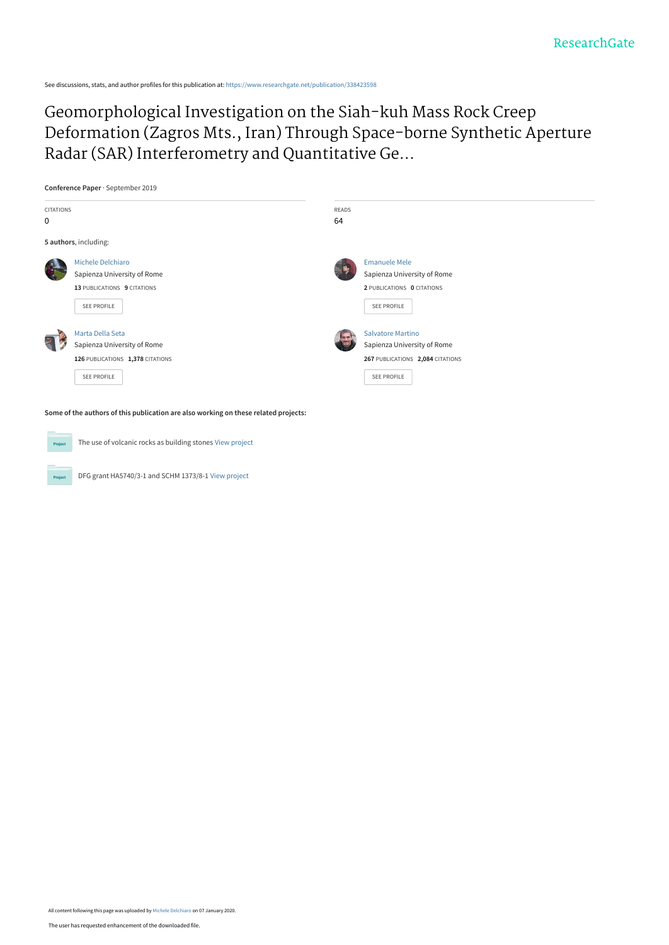See discussions, stats, and author profiles for this publication at: [https://www.researchgate.net/publication/338423598](https://www.researchgate.net/publication/338423598_Geomorphological_Investigation_on_the_Siah-kuh_Mass_Rock_Creep_Deformation_Zagros_Mts_Iran_Through_Space-borne_Synthetic_Aperture_Radar_SAR_Interferometry_and_Quantitative_Geomorphic_Analysis?enrichId=rgreq-291811f97bbdabc59379225c110cae1f-XXX&enrichSource=Y292ZXJQYWdlOzMzODQyMzU5ODtBUzo4NDQ2NzAzMzA0NzQ1MDFAMTU3ODM5NjUwODg1Nw%3D%3D&el=1_x_2&_esc=publicationCoverPdf)

Geomorphological Investigation on the Siah-kuh Mass Rock Creep [Deformation \(Zagros Mts., Iran\) Through Space-borne Synthetic Aperture](https://www.researchgate.net/publication/338423598_Geomorphological_Investigation_on_the_Siah-kuh_Mass_Rock_Creep_Deformation_Zagros_Mts_Iran_Through_Space-borne_Synthetic_Aperture_Radar_SAR_Interferometry_and_Quantitative_Geomorphic_Analysis?enrichId=rgreq-291811f97bbdabc59379225c110cae1f-XXX&enrichSource=Y292ZXJQYWdlOzMzODQyMzU5ODtBUzo4NDQ2NzAzMzA0NzQ1MDFAMTU3ODM5NjUwODg1Nw%3D%3D&el=1_x_3&_esc=publicationCoverPdf) Radar (SAR) Interferometry and Quantitative Ge...

**Conference Paper** · September 2019



**Some of the authors of this publication are also working on these related projects:**

 $P_{rr}$ 

The use of volcanic rocks as building stones [View project](https://www.researchgate.net/project/The-use-of-volcanic-rocks-as-building-stones?enrichId=rgreq-291811f97bbdabc59379225c110cae1f-XXX&enrichSource=Y292ZXJQYWdlOzMzODQyMzU5ODtBUzo4NDQ2NzAzMzA0NzQ1MDFAMTU3ODM5NjUwODg1Nw%3D%3D&el=1_x_9&_esc=publicationCoverPdf)

DFG grant HA5740/3-1 and SCHM 1373/8-1 [View project](https://www.researchgate.net/project/DFG-grant-HA5740-3-1-and-SCHM-1373-8-1?enrichId=rgreq-291811f97bbdabc59379225c110cae1f-XXX&enrichSource=Y292ZXJQYWdlOzMzODQyMzU5ODtBUzo4NDQ2NzAzMzA0NzQ1MDFAMTU3ODM5NjUwODg1Nw%3D%3D&el=1_x_9&_esc=publicationCoverPdf)